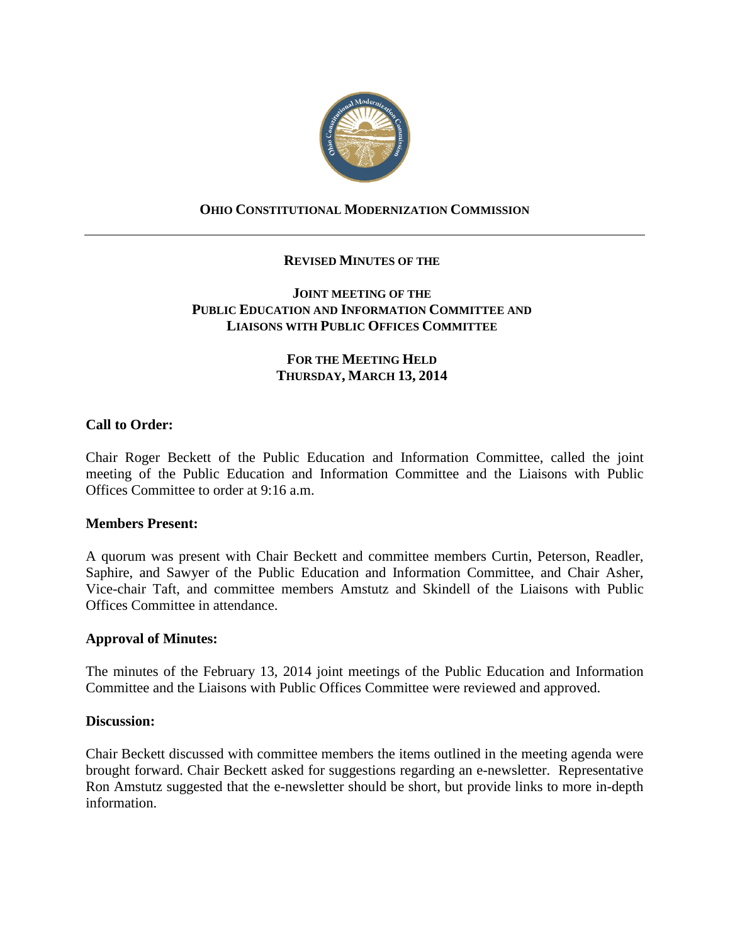

# **OHIO CONSTITUTIONAL MODERNIZATION COMMISSION**

## **REVISED MINUTES OF THE**

## **JOINT MEETING OF THE PUBLIC EDUCATION AND INFORMATION COMMITTEE AND LIAISONS WITH PUBLIC OFFICES COMMITTEE**

# **FOR THE MEETING HELD THURSDAY, MARCH 13, 2014**

## **Call to Order:**

Chair Roger Beckett of the Public Education and Information Committee, called the joint meeting of the Public Education and Information Committee and the Liaisons with Public Offices Committee to order at 9:16 a.m.

#### **Members Present:**

A quorum was present with Chair Beckett and committee members Curtin, Peterson, Readler, Saphire, and Sawyer of the Public Education and Information Committee, and Chair Asher, Vice-chair Taft, and committee members Amstutz and Skindell of the Liaisons with Public Offices Committee in attendance.

#### **Approval of Minutes:**

The minutes of the February 13, 2014 joint meetings of the Public Education and Information Committee and the Liaisons with Public Offices Committee were reviewed and approved.

#### **Discussion:**

Chair Beckett discussed with committee members the items outlined in the meeting agenda were brought forward. Chair Beckett asked for suggestions regarding an e-newsletter. Representative Ron Amstutz suggested that the e-newsletter should be short, but provide links to more in-depth information.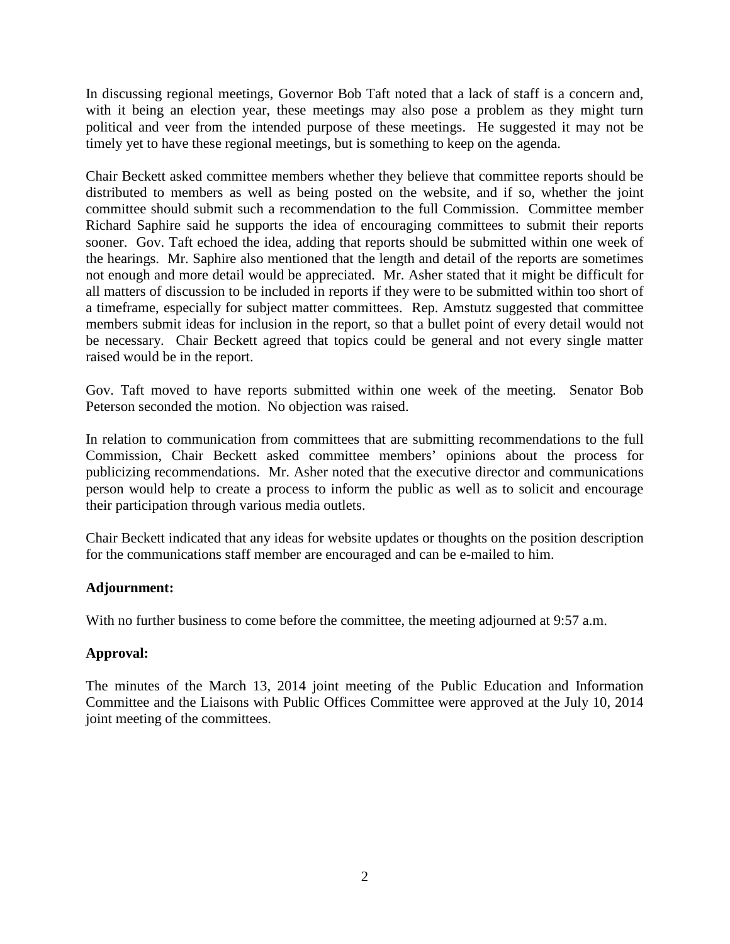In discussing regional meetings, Governor Bob Taft noted that a lack of staff is a concern and, with it being an election year, these meetings may also pose a problem as they might turn political and veer from the intended purpose of these meetings. He suggested it may not be timely yet to have these regional meetings, but is something to keep on the agenda.

Chair Beckett asked committee members whether they believe that committee reports should be distributed to members as well as being posted on the website, and if so, whether the joint committee should submit such a recommendation to the full Commission. Committee member Richard Saphire said he supports the idea of encouraging committees to submit their reports sooner. Gov. Taft echoed the idea, adding that reports should be submitted within one week of the hearings. Mr. Saphire also mentioned that the length and detail of the reports are sometimes not enough and more detail would be appreciated. Mr. Asher stated that it might be difficult for all matters of discussion to be included in reports if they were to be submitted within too short of a timeframe, especially for subject matter committees. Rep. Amstutz suggested that committee members submit ideas for inclusion in the report, so that a bullet point of every detail would not be necessary. Chair Beckett agreed that topics could be general and not every single matter raised would be in the report.

Gov. Taft moved to have reports submitted within one week of the meeting. Senator Bob Peterson seconded the motion. No objection was raised.

In relation to communication from committees that are submitting recommendations to the full Commission, Chair Beckett asked committee members' opinions about the process for publicizing recommendations. Mr. Asher noted that the executive director and communications person would help to create a process to inform the public as well as to solicit and encourage their participation through various media outlets.

Chair Beckett indicated that any ideas for website updates or thoughts on the position description for the communications staff member are encouraged and can be e-mailed to him.

#### **Adjournment:**

With no further business to come before the committee, the meeting adjourned at 9:57 a.m.

# **Approval:**

The minutes of the March 13, 2014 joint meeting of the Public Education and Information Committee and the Liaisons with Public Offices Committee were approved at the July 10, 2014 joint meeting of the committees.